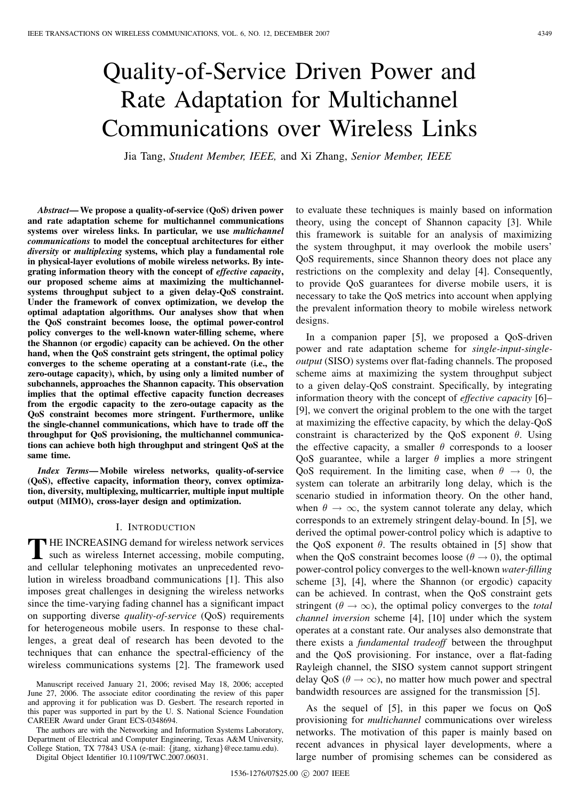# Quality-of-Service Driven Power and Rate Adaptation for Multichannel Communications over Wireless Links

Jia Tang, *Student Member, IEEE,* and Xi Zhang, *Senior Member, IEEE*

*Abstract***— We propose a quality-of-service (QoS) driven power and rate adaptation scheme for multichannel communications systems over wireless links. In particular, we use** *multichannel communications* **to model the conceptual architectures for either** *diversity* **or** *multiplexing* **systems, which play a fundamental role in physical-layer evolutions of mobile wireless networks. By integrating information theory with the concept of** *effective capacity***, our proposed scheme aims at maximizing the multichannelsystems throughput subject to a given delay-QoS constraint. Under the framework of convex optimization, we develop the optimal adaptation algorithms. Our analyses show that when the QoS constraint becomes loose, the optimal power-control policy converges to the well-known water-filling scheme, where the Shannon (or ergodic) capacity can be achieved. On the other hand, when the QoS constraint gets stringent, the optimal policy converges to the scheme operating at a constant-rate (i.e., the zero-outage capacity), which, by using only a limited number of subchannels, approaches the Shannon capacity. This observation implies that the optimal effective capacity function decreases from the ergodic capacity to the zero-outage capacity as the QoS constraint becomes more stringent. Furthermore, unlike the single-channel communications, which have to trade off the throughput for QoS provisioning, the multichannel communications can achieve both high throughput and stringent QoS at the same time.**

*Index Terms***— Mobile wireless networks, quality-of-service (QoS), effective capacity, information theory, convex optimization, diversity, multiplexing, multicarrier, multiple input multiple output (MIMO), cross-layer design and optimization.**

## I. INTRODUCTION

THE INCREASING demand for wireless network services such as wireless Internet accessing, mobile computing, and cellular telephoning motivates an unprecedented revolution in wireless broadband communications [1]. This also imposes great challenges in designing the wireless networks since the time-varying fading channel has a significant impact on supporting diverse *quality-of-service* (QoS) requirements for heterogeneous mobile users. In response to these challenges, a great deal of research has been devoted to the techniques that can enhance the spectral-efficiency of the wireless communications systems [2]. The framework used

Manuscript received January 21, 2006; revised May 18, 2006; accepted June 27, 2006. The associate editor coordinating the review of this paper and approving it for publication was D. Gesbert. The research reported in this paper was supported in part by the U. S. National Science Foundation CAREER Award under Grant ECS-0348694.

The authors are with the Networking and Information Systems Laboratory, Department of Electrical and Computer Engineering, Texas A&M University, College Station, TX 77843 USA (e-mail: {jtang, xizhang}@ece.tamu.edu).

Digital Object Identifier 10.1109/TWC.2007.06031.

to evaluate these techniques is mainly based on information theory, using the concept of Shannon capacity [3]. While this framework is suitable for an analysis of maximizing the system throughput, it may overlook the mobile users' QoS requirements, since Shannon theory does not place any restrictions on the complexity and delay [4]. Consequently, to provide QoS guarantees for diverse mobile users, it is necessary to take the QoS metrics into account when applying the prevalent information theory to mobile wireless network designs.

In a companion paper [5], we proposed a QoS-driven power and rate adaptation scheme for *single-input-singleoutput* (SISO) systems over flat-fading channels. The proposed scheme aims at maximizing the system throughput subject to a given delay-QoS constraint. Specifically, by integrating information theory with the concept of *effective capacity* [6]– [9], we convert the original problem to the one with the target at maximizing the effective capacity, by which the delay-QoS constraint is characterized by the QoS exponent  $\theta$ . Using the effective capacity, a smaller  $\theta$  corresponds to a looser QoS guarantee, while a larger  $\theta$  implies a more stringent QoS requirement. In the limiting case, when  $\theta \rightarrow 0$ , the system can tolerate an arbitrarily long delay, which is the scenario studied in information theory. On the other hand, when  $\theta \to \infty$ , the system cannot tolerate any delay, which corresponds to an extremely stringent delay-bound. In [5], we derived the optimal power-control policy which is adaptive to the QoS exponent  $\theta$ . The results obtained in [5] show that when the QoS constraint becomes loose ( $\theta \rightarrow 0$ ), the optimal power-control policy converges to the well-known *water-filling* scheme [3], [4], where the Shannon (or ergodic) capacity can be achieved. In contrast, when the QoS constraint gets stringent ( $\theta \rightarrow \infty$ ), the optimal policy converges to the *total channel inversion* scheme [4], [10] under which the system operates at a constant rate. Our analyses also demonstrate that there exists a *fundamental tradeoff* between the throughput and the QoS provisioning. For instance, over a flat-fading Rayleigh channel, the SISO system cannot support stringent delay QoS ( $\theta \rightarrow \infty$ ), no matter how much power and spectral bandwidth resources are assigned for the transmission [5].

As the sequel of [5], in this paper we focus on QoS provisioning for *multichannel* communications over wireless networks. The motivation of this paper is mainly based on recent advances in physical layer developments, where a large number of promising schemes can be considered as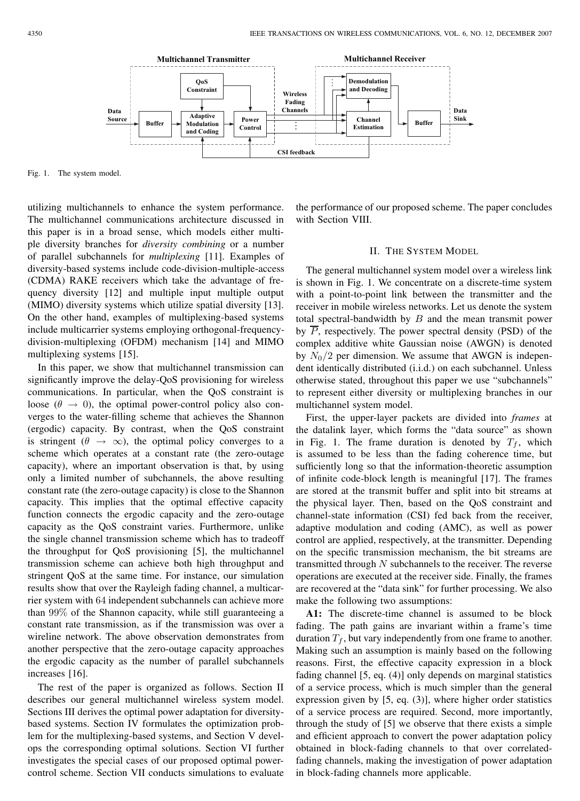

Fig. 1. The system model.

utilizing multichannels to enhance the system performance. The multichannel communications architecture discussed in this paper is in a broad sense, which models either multiple diversity branches for *diversity combining* or a number of parallel subchannels for *multiplexing* [11]. Examples of diversity-based systems include code-division-multiple-access (CDMA) RAKE receivers which take the advantage of frequency diversity [12] and multiple input multiple output (MIMO) diversity systems which utilize spatial diversity [13]. On the other hand, examples of multiplexing-based systems include multicarrier systems employing orthogonal-frequencydivision-multiplexing (OFDM) mechanism [14] and MIMO multiplexing systems [15].

In this paper, we show that multichannel transmission can significantly improve the delay-QoS provisioning for wireless communications. In particular, when the QoS constraint is loose ( $\theta \rightarrow 0$ ), the optimal power-control policy also converges to the water-filling scheme that achieves the Shannon (ergodic) capacity. By contrast, when the QoS constraint is stringent ( $\theta \rightarrow \infty$ ), the optimal policy converges to a scheme which operates at a constant rate (the zero-outage capacity), where an important observation is that, by using only a limited number of subchannels, the above resulting constant rate (the zero-outage capacity) is close to the Shannon capacity. This implies that the optimal effective capacity function connects the ergodic capacity and the zero-outage capacity as the QoS constraint varies. Furthermore, unlike the single channel transmission scheme which has to tradeoff the throughput for QoS provisioning [5], the multichannel transmission scheme can achieve both high throughput and stringent QoS at the same time. For instance, our simulation results show that over the Rayleigh fading channel, a multicarrier system with 64 independent subchannels can achieve more than 99% of the Shannon capacity, while still guaranteeing a constant rate transmission, as if the transmission was over a wireline network. The above observation demonstrates from another perspective that the zero-outage capacity approaches the ergodic capacity as the number of parallel subchannels increases [16].

The rest of the paper is organized as follows. Section II describes our general multichannel wireless system model. Sections III derives the optimal power adaptation for diversitybased systems. Section IV formulates the optimization problem for the multiplexing-based systems, and Section V develops the corresponding optimal solutions. Section VI further investigates the special cases of our proposed optimal powercontrol scheme. Section VII conducts simulations to evaluate the performance of our proposed scheme. The paper concludes with Section VIII.

## II. THE SYSTEM MODEL

The general multichannel system model over a wireless link is shown in Fig. 1. We concentrate on a discrete-time system with a point-to-point link between the transmitter and the receiver in mobile wireless networks. Let us denote the system total spectral-bandwidth by B and the mean transmit power by P, respectively. The power spectral density (PSD) of the complex additive white Gaussian noise (AWGN) is denoted by  $N_0/2$  per dimension. We assume that AWGN is independent identically distributed (i.i.d.) on each subchannel. Unless otherwise stated, throughout this paper we use "subchannels" to represent either diversity or multiplexing branches in our multichannel system model.

First, the upper-layer packets are divided into *frames* at the datalink layer, which forms the "data source" as shown in Fig. 1. The frame duration is denoted by  $T_f$ , which is assumed to be less than the fading coherence time, but sufficiently long so that the information-theoretic assumption of infinite code-block length is meaningful [17]. The frames are stored at the transmit buffer and split into bit streams at the physical layer. Then, based on the QoS constraint and channel-state information (CSI) fed back from the receiver, adaptive modulation and coding (AMC), as well as power control are applied, respectively, at the transmitter. Depending on the specific transmission mechanism, the bit streams are transmitted through  $N$  subchannels to the receiver. The reverse operations are executed at the receiver side. Finally, the frames are recovered at the "data sink" for further processing. We also make the following two assumptions:

**A1:** The discrete-time channel is assumed to be block fading. The path gains are invariant within a frame's time duration  $T_f$ , but vary independently from one frame to another. Making such an assumption is mainly based on the following reasons. First, the effective capacity expression in a block fading channel [5, eq. (4)] only depends on marginal statistics of a service process, which is much simpler than the general expression given by [5, eq. (3)], where higher order statistics of a service process are required. Second, more importantly, through the study of [5] we observe that there exists a simple and efficient approach to convert the power adaptation policy obtained in block-fading channels to that over correlatedfading channels, making the investigation of power adaptation in block-fading channels more applicable.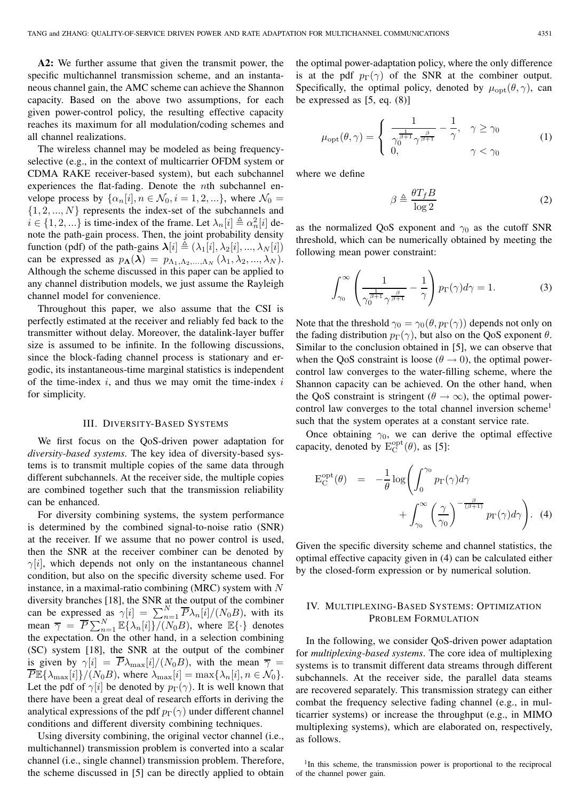**A2:** We further assume that given the transmit power, the specific multichannel transmission scheme, and an instantaneous channel gain, the AMC scheme can achieve the Shannon capacity. Based on the above two assumptions, for each given power-control policy, the resulting effective capacity reaches its maximum for all modulation/coding schemes and all channel realizations.

The wireless channel may be modeled as being frequencyselective (e.g., in the context of multicarrier OFDM system or CDMA RAKE receiver-based system), but each subchannel experiences the flat-fading. Denote the nth subchannel envelope process by  $\{\alpha_n[i], n \in \mathcal{N}_0, i = 1, 2, ...\}$ , where  $\mathcal{N}_0 =$  $\{1, 2, ..., N\}$  represents the index-set of the subchannels and  $i \in \{1, 2, ...\}$  is time-index of the frame. Let  $\lambda_n[i] \triangleq \alpha_n^2[i]$  denote the path-gain process. Then, the joint probability density function (pdf) of the path-gains  $\lambda[i] \triangleq (\lambda_1[i], \lambda_2[i], ..., \lambda_N[i])$ can be expressed as  $p_{\mathbf{\Lambda}}(\lambda) = p_{\Lambda_1, \Lambda_2, ..., \Lambda_N}(\lambda_1, \lambda_2, ..., \lambda_N)$ . Although the scheme discussed in this paper can be applied to any channel distribution models, we just assume the Rayleigh channel model for convenience.

Throughout this paper, we also assume that the CSI is perfectly estimated at the receiver and reliably fed back to the transmitter without delay. Moreover, the datalink-layer buffer size is assumed to be infinite. In the following discussions, since the block-fading channel process is stationary and ergodic, its instantaneous-time marginal statistics is independent of the time-index  $i$ , and thus we may omit the time-index  $i$ for simplicity.

#### III. DIVERSITY-BASED SYSTEMS

We first focus on the QoS-driven power adaptation for *diversity-based systems*. The key idea of diversity-based systems is to transmit multiple copies of the same data through different subchannels. At the receiver side, the multiple copies are combined together such that the transmission reliability can be enhanced.

For diversity combining systems, the system performance is determined by the combined signal-to-noise ratio (SNR) at the receiver. If we assume that no power control is used, then the SNR at the receiver combiner can be denoted by  $\gamma[i]$ , which depends not only on the instantaneous channel condition, but also on the specific diversity scheme used. For instance, in a maximal-ratio combining (MRC) system with  $N$ diversity branches [18], the SNR at the output of the combiner can be expressed as  $\gamma[i] = \sum_{n=1}^{N} \overline{P} \lambda_n[i]/(N_0B)$ , with its mean  $\overline{\gamma} = \overline{P} \sum_{n=1}^{N} \mathbb{E} \{\lambda_n[i]\} / (N_0 B)$ , where  $\mathbb{E} \{\cdot\}$  denotes the expectation. On the other hand, in a selection combining (SC) system [18], the SNR at the output of the combiner is given by  $\gamma[i] = \overline{P} \lambda_{\text{max}}[i]/(N_0 B)$ , with the mean  $\overline{\gamma}$  =  $\overline{P} \mathbb{E} {\lambda_{\max}[i]} / (N_0 B)$ , where  $\lambda_{\max}[i] = \max{\lambda_n[i]}, n \in \mathcal{N}_0$ . Let the pdf of  $\gamma[i]$  be denoted by  $p_{\Gamma}(\gamma)$ . It is well known that there have been a great deal of research efforts in deriving the analytical expressions of the pdf  $p_{\Gamma}(\gamma)$  under different channel conditions and different diversity combining techniques.

Using diversity combining, the original vector channel (i.e., multichannel) transmission problem is converted into a scalar channel (i.e., single channel) transmission problem. Therefore, the scheme discussed in [5] can be directly applied to obtain

the optimal power-adaptation policy, where the only difference is at the pdf  $p_{\Gamma}(\gamma)$  of the SNR at the combiner output. Specifically, the optimal policy, denoted by  $\mu_{opt}(\theta, \gamma)$ , can be expressed as [5, eq. (8)]

$$
\mu_{\text{opt}}(\theta, \gamma) = \begin{cases} \frac{1}{\gamma_0^{\frac{1}{\beta+1}} \gamma^{\frac{\beta}{\beta+1}}} - \frac{1}{\gamma}, & \gamma \ge \gamma_0 \\ 0, & \gamma < \gamma_0 \end{cases}
$$
(1)

where we define

$$
\beta \triangleq \frac{\theta T_f B}{\log 2} \tag{2}
$$

as the normalized QoS exponent and  $\gamma_0$  as the cutoff SNR threshold, which can be numerically obtained by meeting the following mean power constraint:

$$
\int_{\gamma_0}^{\infty} \left( \frac{1}{\gamma_0^{\frac{1}{\beta+1}} \gamma^{\frac{\beta}{\beta+1}}} - \frac{1}{\gamma} \right) p_{\Gamma}(\gamma) d\gamma = 1.
$$
 (3)

Note that the threshold  $\gamma_0 = \gamma_0(\theta, p_\Gamma(\gamma))$  depends not only on the fading distribution  $p_{\Gamma}(\gamma)$ , but also on the QoS exponent  $\theta$ . Similar to the conclusion obtained in [5], we can observe that when the QoS constraint is loose ( $\theta \rightarrow 0$ ), the optimal powercontrol law converges to the water-filling scheme, where the Shannon capacity can be achieved. On the other hand, when the QoS constraint is stringent ( $\theta \rightarrow \infty$ ), the optimal powercontrol law converges to the total channel inversion scheme<sup>1</sup> such that the system operates at a constant service rate.

Once obtaining  $\gamma_0$ , we can derive the optimal effective capacity, denoted by  $E_C^{opt}(\theta)$ , as [5]:

$$
E_C^{opt}(\theta) = -\frac{1}{\theta} \log \left( \int_0^{\gamma_0} p_{\Gamma}(\gamma) d\gamma + \int_{\gamma_0}^{\infty} \left( \frac{\gamma}{\gamma_0} \right)^{-\frac{\beta}{(\beta+1)}} p_{\Gamma}(\gamma) d\gamma \right). \tag{4}
$$

Given the specific diversity scheme and channel statistics, the optimal effective capacity given in (4) can be calculated either by the closed-form expression or by numerical solution.

## IV. MULTIPLEXING-BASED SYSTEMS: OPTIMIZATION PROBLEM FORMULATION

In the following, we consider QoS-driven power adaptation for *multiplexing-based systems*. The core idea of multiplexing systems is to transmit different data streams through different subchannels. At the receiver side, the parallel data steams are recovered separately. This transmission strategy can either combat the frequency selective fading channel (e.g., in multicarrier systems) or increase the throughput (e.g., in MIMO multiplexing systems), which are elaborated on, respectively, as follows.

<sup>1</sup>In this scheme, the transmission power is proportional to the reciprocal of the channel power gain.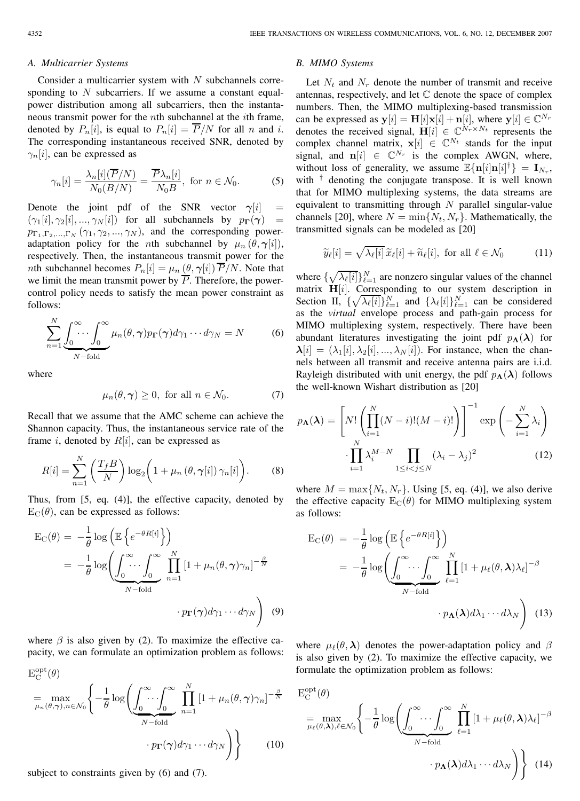## *A. Multicarrier Systems*

Consider a multicarrier system with  $N$  subchannels corresponding to  $N$  subcarriers. If we assume a constant equalpower distribution among all subcarriers, then the instantaneous transmit power for the nth subchannel at the ith frame, denoted by  $P_n[i]$ , is equal to  $P_n[i] = \overline{P}/N$  for all n and i. The corresponding instantaneous received SNR, denoted by  $\gamma_n[i]$ , can be expressed as

$$
\gamma_n[i] = \frac{\lambda_n[i](\overline{P}/N)}{N_0(B/N)} = \frac{\overline{P}\lambda_n[i]}{N_0B}, \text{ for } n \in \mathcal{N}_0.
$$
 (5)

Denote the joint pdf of the SNR vector  $\gamma[i]$  =  $(\gamma_1[i], \gamma_2[i], ..., \gamma_N[i])$  for all subchannels by  $p_{\Gamma}(\gamma)$  =  $p_{\Gamma_1,\Gamma_2,...,\Gamma_N}(\gamma_1,\gamma_2,...,\gamma_N)$ , and the corresponding poweradaptation policy for the *n*th subchannel by  $\mu_n(\theta, \gamma[i]),$ respectively. Then, the instantaneous transmit power for the *nth* subchannel becomes  $P_n[i] = \mu_n (\theta, \gamma[i]) \overline{P}/N$ . Note that we limit the mean transmit power by  $\overline{P}$ . Therefore, the powercontrol policy needs to satisfy the mean power constraint as follows:

$$
\sum_{n=1}^{N} \underbrace{\int_{0}^{\infty} \cdots \int_{0}^{\infty}}_{N-\text{fold}} \mu_n(\theta, \gamma) p_{\Gamma}(\gamma) d\gamma_1 \cdots d\gamma_N = N \tag{6}
$$

where

$$
\mu_n(\theta, \gamma) \ge 0, \text{ for all } n \in \mathcal{N}_0. \tag{7}
$$

Recall that we assume that the AMC scheme can achieve the Shannon capacity. Thus, the instantaneous service rate of the frame *i*, denoted by  $R[i]$ , can be expressed as

$$
R[i] = \sum_{n=1}^{N} \left( \frac{T_f B}{N} \right) \log_2 \left( 1 + \mu_n \left( \theta, \gamma[i] \right) \gamma_n[i] \right). \tag{8}
$$

Thus, from [5, eq. (4)], the effective capacity, denoted by  $E_C(\theta)$ , can be expressed as follows:

$$
E_C(\theta) = -\frac{1}{\theta} \log \left( E \left\{ e^{-\theta R[i]} \right\} \right)
$$
  
= 
$$
-\frac{1}{\theta} \log \left( \underbrace{\int_0^\infty \cdots \int_0^\infty}_{N-\text{fold}} \prod_{n=1}^N \left[ 1 + \mu_n(\theta, \gamma) \gamma_n \right]^{-\frac{\theta}{N}}
$$
  

$$
\cdot p_{\Gamma}(\gamma) d\gamma_1 \cdots d\gamma_N \right)
$$
(9)

where  $\beta$  is also given by (2). To maximize the effective capacity, we can formulate an optimization problem as follows:

$$
E_C^{\text{opt}}(\theta)
$$
\n
$$
= \max_{\mu_n(\theta,\gamma),n \in \mathcal{N}_0} \left\{ -\frac{1}{\theta} \log \left( \underbrace{\int_0^\infty \cdots \int_0^\infty}_{N-\text{fold}} \prod_{n=1}^N \left[ 1 + \mu_n(\theta,\gamma) \gamma_n \right]^{-\frac{\beta}{N}} \right. \cdot p_\Gamma(\gamma) d\gamma_1 \cdots d\gamma_N \right\} \tag{10}
$$

subject to constraints given by  $(6)$  and  $(7)$ .

## *B. MIMO Systems*

Let  $N_t$  and  $N_r$  denote the number of transmit and receive antennas, respectively, and let  $\mathbb C$  denote the space of complex numbers. Then, the MIMO multiplexing-based transmission can be expressed as  $\mathbf{y}[i] = \mathbf{H}[i]\mathbf{x}[i] + \mathbf{n}[i]$ , where  $\mathbf{y}[i] \in \mathbb{C}^{N_r}$ denotes the received signal,  $\mathbf{H}[i] \in \mathbb{C}^{N_r \times N_t}$  represents the complex channel matrix,  $\mathbf{x}[i] \in \mathbb{C}^{N_t}$  stands for the input signal, and  $\mathbf{n}[i] \in \mathbb{C}^{N_r}$  is the complex AWGN, where, without loss of generality, we assume  $\mathbb{E}\{\mathbf{n}[i]\mathbf{n}[i]^{\dagger}\} = \mathbf{I}_{N_r}$ , with  $\dagger$  denoting the conjugate transpose. It is well known that for MIMO multiplexing systems, the data streams are equivalent to transmitting through  $N$  parallel singular-value channels [20], where  $N = \min\{N_t, N_r\}$ . Mathematically, the transmitted signals can be modeled as [20]

$$
\widetilde{y}_{\ell}[i] = \sqrt{\lambda_{\ell}[i]} \widetilde{x}_{\ell}[i] + \widetilde{n}_{\ell}[i], \text{ for all } \ell \in \mathcal{N}_0 \tag{11}
$$

where  $\{\sqrt{\lambda_{\ell}[i]}\}_{\ell=1}^N$  are nonzero singular values of the channel matrix **H**[i]. Corresponding to our system description in Section II,  $\{\sqrt{\lambda_{\ell}[i]}\}_{\ell=1}^{N}$  and  $\{\lambda_{\ell}[i]\}_{\ell=1}^{N}$  can be considered as the *virtual* envelope process and path-gain process for MIMO multiplexing system, respectively. There have been abundant literatures investigating the joint pdf  $p_\Lambda(\lambda)$  for  $\lambda[i]=(\lambda_1[i], \lambda_2[i], ..., \lambda_N[i])$ . For instance, when the channels between all transmit and receive antenna pairs are i.i.d. Rayleigh distributed with unit energy, the pdf  $p_\Lambda(\lambda)$  follows the well-known Wishart distribution as [20]

$$
p_{\mathbf{\Lambda}}(\lambda) = \left[ N! \left( \prod_{i=1}^{N} (N-i)! (M-i)! \right) \right]^{-1} \exp \left( -\sum_{i=1}^{N} \lambda_i \right)
$$

$$
\cdot \prod_{i=1}^{N} \lambda_i^{M-N} \prod_{1 \le i < j \le N} (\lambda_i - \lambda_j)^2 \tag{12}
$$

where  $M = \max\{N_t, N_r\}$ . Using [5, eq. (4)], we also derive the effective capacity  $E_C(\theta)$  for MIMO multiplexing system as follows:

$$
\begin{split} \mathcal{E}_{\mathcal{C}}(\theta) &= -\frac{1}{\theta} \log \left( \mathbb{E} \left\{ e^{-\theta R[i]} \right\} \right) \\ &= -\frac{1}{\theta} \log \left( \underbrace{\int_0^\infty \cdots \int_0^\infty}_{N-\text{fold}} \prod_{\ell=1}^N \left[ 1 + \mu_\ell(\theta, \boldsymbol{\lambda}) \lambda_\ell \right]^{-\beta} \\ &\cdot p_{\boldsymbol{\Lambda}}(\boldsymbol{\lambda}) d\lambda_1 \cdots d\lambda_N \right) \end{split} \tag{13}
$$

where  $\mu_{\ell}(\theta, \lambda)$  denotes the power-adaptation policy and  $\beta$ is also given by (2). To maximize the effective capacity, we formulate the optimization problem as follows:

$$
\mathbf{E}_{\mathcal{C}}^{\text{opt}}(\theta) = \max_{\mu_{\ell}(\theta,\boldsymbol{\lambda}),\ell \in \mathcal{N}_0} \left\{ -\frac{1}{\theta} \log \left( \underbrace{\int_0^{\infty} \cdots \int_0^{\infty} \prod_{\ell=1}^N \left[1 + \mu_{\ell}(\theta,\boldsymbol{\lambda}) \lambda_{\ell}\right]^{-\beta}}_{N-\text{fold}} \right. \cdot p_{\boldsymbol{\Lambda}}(\boldsymbol{\lambda}) d\lambda_1 \cdots d\lambda_N \right) \right\} (14)
$$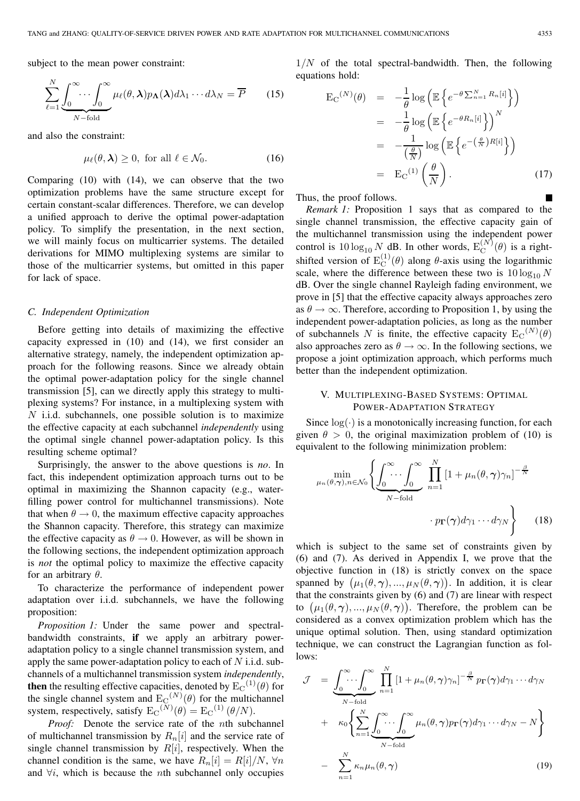subject to the mean power constraint:

$$
\sum_{\ell=1}^{N} \underbrace{\int_{0}^{\infty} \cdots \int_{0}^{\infty}}_{N-\text{fold}} \mu_{\ell}(\theta, \lambda) p_{\Lambda}(\lambda) d\lambda_{1} \cdots d\lambda_{N} = \overline{P} \qquad (15)
$$

and also the constraint:

$$
\mu_{\ell}(\theta, \lambda) \ge 0, \text{ for all } \ell \in \mathcal{N}_0. \tag{16}
$$

Comparing (10) with (14), we can observe that the two optimization problems have the same structure except for certain constant-scalar differences. Therefore, we can develop a unified approach to derive the optimal power-adaptation policy. To simplify the presentation, in the next section, we will mainly focus on multicarrier systems. The detailed derivations for MIMO multiplexing systems are similar to those of the multicarrier systems, but omitted in this paper for lack of space.

## *C. Independent Optimization*

Before getting into details of maximizing the effective capacity expressed in (10) and (14), we first consider an alternative strategy, namely, the independent optimization approach for the following reasons. Since we already obtain the optimal power-adaptation policy for the single channel transmission [5], can we directly apply this strategy to multiplexing systems? For instance, in a multiplexing system with  $N$  i.i.d. subchannels, one possible solution is to maximize the effective capacity at each subchannel *independently* using the optimal single channel power-adaptation policy. Is this resulting scheme optimal?

Surprisingly, the answer to the above questions is *no*. In fact, this independent optimization approach turns out to be optimal in maximizing the Shannon capacity (e.g., waterfilling power control for multichannel transmissions). Note that when  $\theta \rightarrow 0$ , the maximum effective capacity approaches the Shannon capacity. Therefore, this strategy can maximize the effective capacity as  $\theta \rightarrow 0$ . However, as will be shown in the following sections, the independent optimization approach is *not* the optimal policy to maximize the effective capacity for an arbitrary  $\theta$ .

To characterize the performance of independent power adaptation over i.i.d. subchannels, we have the following proposition:

*Proposition 1:* Under the same power and spectralbandwidth constraints, **if** we apply an arbitrary poweradaptation policy to a single channel transmission system, and apply the same power-adaptation policy to each of  $N$  i.i.d. subchannels of a multichannel transmission system *independently*, **then** the resulting effective capacities, denoted by  $E_C^{(1)}(\theta)$  for the single channel system and  $E_C^{(N)}(\theta)$  for the multichannel system, respectively, satisfy  $E_C^{(N)}(\theta) = E_C^{(1)}(\theta/N)$ .

*Proof:* Denote the service rate of the nth subchannel of multichannel transmission by  $R_n[i]$  and the service rate of single channel transmission by  $R[i]$ , respectively. When the channel condition is the same, we have  $R_n[i] = R[i]/N$ ,  $\forall n$ and  $\forall i$ , which is because the *nth* subchannel only occupies

 $1/N$  of the total spectral-bandwidth. Then, the following equations hold:

$$
E_{C}^{(N)}(\theta) = -\frac{1}{\theta} \log \left( E \left\{ e^{-\theta \sum_{n=1}^{N} R_{n}[i]} \right\} \right)
$$
  
\n
$$
= -\frac{1}{\theta} \log \left( E \left\{ e^{-\theta R_{n}[i]} \right\} \right)^{N}
$$
  
\n
$$
= -\frac{1}{\left( \frac{\theta}{N} \right)} \log \left( E \left\{ e^{-\left( \frac{\theta}{N} \right) R[i]} \right\} \right)
$$
  
\n
$$
= E_{C}^{(1)} \left( \frac{\theta}{N} \right). \tag{17}
$$

Thus, the proof follows.

*Remark 1:* Proposition 1 says that as compared to the single channel transmission, the effective capacity gain of the multichannel transmission using the independent power control is  $10 \log_{10} N$  dB. In other words,  $E_C^{(N)}(\theta)$  is a rightshifted version of  $E_C^{(1)}(\theta)$  along  $\theta$ -axis using the logarithmic scale, where the difference between these two is  $10 \log_{10} N$ dB. Over the single channel Rayleigh fading environment, we prove in [5] that the effective capacity always approaches zero as  $\theta \rightarrow \infty$ . Therefore, according to Proposition 1, by using the independent power-adaptation policies, as long as the number of subchannels N is finite, the effective capacity  $E_C^{(N)}(\theta)$ also approaches zero as  $\theta \to \infty$ . In the following sections, we propose a joint optimization approach, which performs much better than the independent optimization.

## V. MULTIPLEXING-BASED SYSTEMS: OPTIMAL POWER-ADAPTATION STRATEGY

Since  $log(·)$  is a monotonically increasing function, for each given  $\theta > 0$ , the original maximization problem of (10) is equivalent to the following minimization problem:

$$
\min_{\mu_n(\theta,\gamma),n\in\mathcal{N}_0}\left\{\underbrace{\int_0^\infty\cdots\int_0^\infty}_{N-\text{fold}}\prod_{n=1}^N\left[1+\mu_n(\theta,\gamma)\gamma_n\right]^{-\frac{\beta}{N}}\right.\\ \left.\cdot p_\Gamma(\gamma)d\gamma_1\cdots d\gamma_N\right\}\qquad(18)
$$

which is subject to the same set of constraints given by (6) and (7). As derived in Appendix I, we prove that the objective function in (18) is strictly convex on the space spanned by  $(\mu_1(\theta, \gamma), ..., \mu_N(\theta, \gamma))$ . In addition, it is clear that the constraints given by (6) and (7) are linear with respect to  $(\mu_1(\theta, \gamma), ..., \mu_N(\theta, \gamma))$ . Therefore, the problem can be considered as a convex optimization problem which has the unique optimal solution. Then, using standard optimization technique, we can construct the Lagrangian function as follows:

$$
\mathcal{J} = \underbrace{\int_0^\infty \cdots \int_0^\infty}_{N-\text{fold}} \prod_{n=1}^N \left[1 + \mu_n(\theta, \gamma)\gamma_n\right]^{-\frac{\beta}{N}} p_\Gamma(\gamma) d\gamma_1 \cdots d\gamma_N
$$
  
+ 
$$
\kappa_0 \Biggl\{\sum_{n=1}^N \underbrace{\int_0^\infty \cdots \int_0^\infty}_{N-\text{fold}} \mu_n(\theta, \gamma) p_\Gamma(\gamma) d\gamma_1 \cdots d\gamma_N - N \Biggr\}
$$
  
- 
$$
\sum_{n=1}^N \kappa_n \mu_n(\theta, \gamma)
$$
 (19)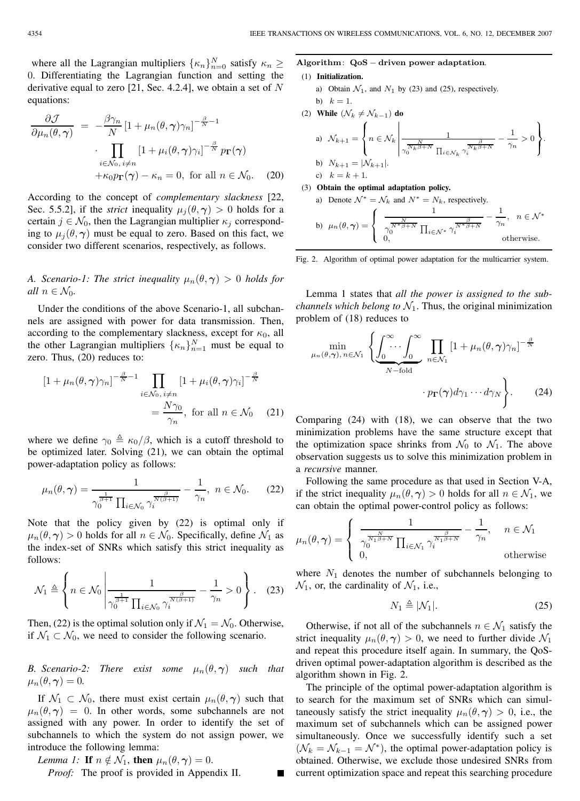where all the Lagrangian multipliers  $\{\kappa_n\}_{n=0}^N$  satisfy  $\kappa_n \geq$ 0. Differentiating the Lagrangian function and setting the derivative equal to zero [21, Sec. 4.2.4], we obtain a set of  $N$ equations:

$$
\frac{\partial \mathcal{J}}{\partial \mu_n(\theta, \gamma)} = -\frac{\beta \gamma_n}{N} \left[ 1 + \mu_n(\theta, \gamma) \gamma_n \right]^{-\frac{\beta}{N} - 1}
$$

$$
\cdot \prod_{\substack{i \in \mathcal{N}_0, i \neq n}} \left[ 1 + \mu_i(\theta, \gamma) \gamma_i \right]^{-\frac{\beta}{N}} p_\Gamma(\gamma)
$$

$$
+ \kappa_0 p_\Gamma(\gamma) - \kappa_n = 0, \text{ for all } n \in \mathcal{N}_0. \quad (20)
$$

According to the concept of *complementary slackness* [22, Sec. 5.5.2], if the *strict* inequality  $\mu_j(\theta, \gamma) > 0$  holds for a certain  $j \in \mathcal{N}_0$ , then the Lagrangian multiplier  $\kappa_j$  corresponding to  $\mu_i(\theta, \gamma)$  must be equal to zero. Based on this fact, we consider two different scenarios, respectively, as follows.

*A. Scenario-1: The strict inequality*  $\mu_n(\theta, \gamma) > 0$  *holds for all*  $n \in \mathcal{N}_0$ .

Under the conditions of the above Scenario-1, all subchannels are assigned with power for data transmission. Then, according to the complementary slackness, except for  $\kappa_0$ , all the other Lagrangian multipliers  $\{\kappa_n\}_{n=1}^N$  must be equal to zero. Thus, (20) reduces to:

$$
[1 + \mu_n(\theta, \gamma)\gamma_n]^{-\frac{\beta}{N} - 1} \prod_{i \in \mathcal{N}_0, i \neq n} [1 + \mu_i(\theta, \gamma)\gamma_i]^{-\frac{\beta}{N}}
$$

$$
= \frac{N\gamma_0}{\gamma_n}, \text{ for all } n \in \mathcal{N}_0 \quad (21)
$$

where we define  $\gamma_0 \triangleq \kappa_0/\beta$ , which is a cutoff threshold to be optimized later. Solving (21), we can obtain the optimal power-adaptation policy as follows:

$$
\mu_n(\theta, \gamma) = \frac{1}{\gamma_0^{\frac{1}{\beta+1}} \prod_{i \in \mathcal{N}_0} \gamma_i^{\frac{\beta}{N(\beta+1)}}} - \frac{1}{\gamma_n}, \ n \in \mathcal{N}_0. \tag{22}
$$

Note that the policy given by (22) is optimal only if  $\mu_n(\theta, \gamma) > 0$  holds for all  $n \in \mathcal{N}_0$ . Specifically, define  $\mathcal{N}_1$  as the index-set of SNRs which satisfy this strict inequality as follows:

$$
\mathcal{N}_1 \triangleq \left\{ n \in \mathcal{N}_0 \left| \frac{1}{\gamma_0^{\frac{1}{\beta+1}} \prod_{i \in \mathcal{N}_0} \gamma_i^{\frac{\beta}{N(\beta+1)}}} - \frac{1}{\gamma_n} > 0 \right. \right\}.
$$
 (23)

Then, (22) is the optimal solution only if  $\mathcal{N}_1 = \mathcal{N}_0$ . Otherwise, if  $\mathcal{N}_1 \subset \mathcal{N}_0$ , we need to consider the following scenario.

*B. Scenario-2: There exist some*  $\mu_n(\theta, \gamma)$  *such that*  $\mu_n(\theta, \gamma)=0.$ 

If  $\mathcal{N}_1 \subset \mathcal{N}_0$ , there must exist certain  $\mu_n(\theta, \gamma)$  such that  $\mu_n(\theta, \gamma) = 0$ . In other words, some subchannels are not assigned with any power. In order to identify the set of subchannels to which the system do not assign power, we introduce the following lemma:

*Lemma 1:* **If**  $n \notin \mathcal{N}_1$ , **then**  $\mu_n(\theta, \gamma) = 0$ .

*Proof:* The proof is provided in Appendix II.

## **Algorithm**: **QoS** − **driven power adaptation**.

(1) **Initialization.**

a) Obtain  $\mathcal{N}_1$ , and  $\mathcal{N}_1$  by (23) and (25), respectively. b)  $k = 1$ .

(2) While 
$$
(\mathcal{N}_k \neq \mathcal{N}_{k-1})
$$
 do  
\na)  $\mathcal{N}_{k+1} = \left\{ n \in \mathcal{N}_k \middle| \frac{1}{\gamma_0^N k^{\beta + N}} \frac{1}{\prod_{i \in \mathcal{N}_k} \gamma_i^N k^{\beta + N}} - \frac{1}{\gamma_n} > 0 \right\}.$   
\nb)  $N_{k+1} = |\mathcal{N}_{k+1}|$ .  
\nc)  $k = k + 1$ .

(3) **Obtain the optimal adaptation policy.**

a) Denote 
$$
\mathcal{N}^* = \mathcal{N}_k
$$
 and  $N^* = N_k$ , respectively.  
\nb)  $\mu_n(\theta, \gamma) = \begin{cases} \frac{1}{\sqrt{\frac{N}{N} + \beta + N}} \frac{\beta}{\prod_{i \in \mathcal{N}^*} \gamma_i^{\frac{\beta}{N} + \beta + N}} - \frac{1}{\gamma_n}, & n \in \mathcal{N}^* \\ 0, & \text{otherwise.} \end{cases}$ 

Fig. 2. Algorithm of optimal power adaptation for the multicarrier system.

Lemma 1 states that *all the power is assigned to the subchannels which belong to*  $N_1$ . Thus, the original minimization problem of (18) reduces to

$$
\min_{\mu_n(\theta,\gamma), n \in \mathcal{N}_1} \left\{ \underbrace{\int_0^\infty \cdots \int_0^\infty}_{N-\text{fold}} \prod_{n \in \mathcal{N}_1} \left[ 1 + \mu_n(\theta,\gamma)\gamma_n \right]^{-\frac{\beta}{N}} - p_\Gamma(\gamma) d\gamma_1 \cdots d\gamma_N \right\}.
$$
 (24)

Comparing (24) with (18), we can observe that the two minimization problems have the same structure except that the optimization space shrinks from  $\mathcal{N}_0$  to  $\mathcal{N}_1$ . The above observation suggests us to solve this minimization problem in a *recursive* manner.

Following the same procedure as that used in Section V-A, if the strict inequality  $\mu_n(\theta, \gamma) > 0$  holds for all  $n \in \mathcal{N}_1$ , we can obtain the optimal power-control policy as follows:

$$
\mu_n(\theta, \gamma) = \begin{cases} \frac{1}{\gamma_0^{\frac{N}{N_1 \beta + N}} \prod_{i \in \mathcal{N}_1} \gamma_i^{\frac{\beta}{N_1 \beta + N}} - \frac{1}{\gamma_n}, & n \in \mathcal{N}_1 \\ 0, & \text{otherwise} \end{cases}
$$

where  $N_1$  denotes the number of subchannels belonging to  $\mathcal{N}_1$ , or, the cardinality of  $\mathcal{N}_1$ , i.e.,

$$
N_1 \triangleq |\mathcal{N}_1|.\tag{25}
$$

Otherwise, if not all of the subchannels  $n \in \mathcal{N}_1$  satisfy the strict inequality  $\mu_n(\theta, \gamma) > 0$ , we need to further divide  $\mathcal{N}_1$ and repeat this procedure itself again. In summary, the QoSdriven optimal power-adaptation algorithm is described as the algorithm shown in Fig. 2.

The principle of the optimal power-adaptation algorithm is to search for the maximum set of SNRs which can simultaneously satisfy the strict inequality  $\mu_n(\theta, \gamma) > 0$ , i.e., the maximum set of subchannels which can be assigned power simultaneously. Once we successfully identify such a set  $(\mathcal{N}_k = \mathcal{N}_{k-1} = \mathcal{N}^*)$ , the optimal power-adaptation policy is obtained. Otherwise, we exclude those undesired SNRs from current optimization space and repeat this searching procedure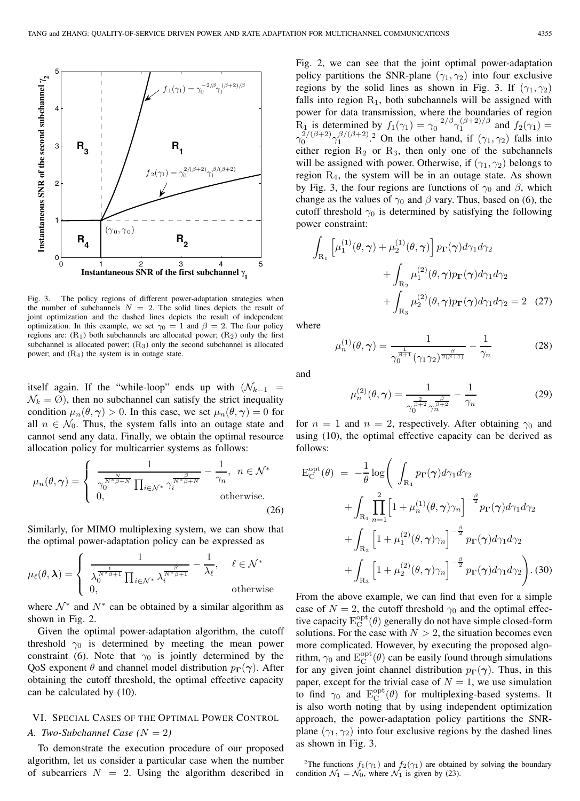

Fig. 3. The policy regions of different power-adaptation strategies when the number of subchannels  $N = 2$ . The solid lines depicts the result of joint optimization and the dashed lines depicts the result of independent optimization. In this example, we set  $\gamma_0 = 1$  and  $\beta = 2$ . The four policy regions are:  $(R_1)$  both subchannels are allocated power;  $(R_2)$  only the first subchannel is allocated power;  $(R_3)$  only the second subchannel is allocated power; and  $(R_4)$  the system is in outage state.

itself again. If the "while-loop" ends up with  $(\mathcal{N}_{k-1}$  =  $\mathcal{N}_k = \emptyset$ , then no subchannel can satisfy the strict inequality condition  $\mu_n(\theta, \gamma) > 0$ . In this case, we set  $\mu_n(\theta, \gamma) = 0$  for all  $n \in \mathcal{N}_0$ . Thus, the system falls into an outage state and cannot send any data. Finally, we obtain the optimal resource allocation policy for multicarrier systems as follows:

$$
\mu_n(\theta, \gamma) = \begin{cases} \frac{1}{\gamma_0^{\frac{N}{N^*\beta + N}} \prod_{i \in \mathcal{N}^*} \gamma_i^{\frac{\beta}{N^*\beta + N}} - \frac{1}{\gamma_n}, & n \in \mathcal{N}^* \\ 0, & \text{otherwise.} \end{cases}
$$
(26)

Similarly, for MIMO multiplexing system, we can show that the optimal power-adaptation policy can be expressed as

$$
\mu_{\ell}(\theta,\lambda) = \begin{cases} \frac{1}{\lambda_0^{\frac{1}{N^*\beta+1}}\prod_{i\in\mathcal{N}^*}\lambda_i^{\frac{\beta}{N^*\beta+1}}}-\frac{1}{\lambda_{\ell}}, & \ell \in \mathcal{N}^*\\ 0, & \text{otherwise} \end{cases}
$$

where  $\mathcal{N}^*$  and  $N^*$  can be obtained by a similar algorithm as shown in Fig. 2.

Given the optimal power-adaptation algorithm, the cutoff threshold  $\gamma_0$  is determined by meeting the mean power constraint (6). Note that  $\gamma_0$  is jointly determined by the QoS exponent  $\theta$  and channel model distribution  $p_{\Gamma}(\gamma)$ . After obtaining the cutoff threshold, the optimal effective capacity can be calculated by (10).

## VI. SPECIAL CASES OF THE OPTIMAL POWER CONTROL *A. Two-Subchannel Case*  $(N = 2)$

To demonstrate the execution procedure of our proposed algorithm, let us consider a particular case when the number of subcarriers  $N = 2$ . Using the algorithm described in Fig. 2, we can see that the joint optimal power-adaptation policy partitions the SNR-plane  $(\gamma_1, \gamma_2)$  into four exclusive regions by the solid lines as shown in Fig. 3. If  $(\gamma_1, \gamma_2)$ falls into region  $R_1$ , both subchannels will be assigned with power for data transmission, where the boundaries of region  $R_1$  is determined by  $f_1(\gamma_1) = \gamma_0^{-2/\beta} \gamma_1^{(\beta+2)/\beta}$  and  $f_2(\gamma_1) =$  $\gamma_0^{2/(\beta+2)}\gamma_1^{\beta/(\beta+2)}$ ? On the other hand, if  $(\gamma_1, \gamma_2)$  falls into either region  $R_2$  or  $R_3$ , then only one of the subchannels will be assigned with power. Otherwise, if  $(\gamma_1, \gamma_2)$  belongs to region  $R_4$ , the system will be in an outage state. As shown by Fig. 3, the four regions are functions of  $\gamma_0$  and  $\beta$ , which change as the values of  $\gamma_0$  and  $\beta$  vary. Thus, based on (6), the cutoff threshold  $\gamma_0$  is determined by satisfying the following power constraint:

$$
\int_{\mathbf{R}_1} \left[ \mu_1^{(1)}(\theta, \gamma) + \mu_2^{(1)}(\theta, \gamma) \right] p_{\mathbf{\Gamma}}(\gamma) d\gamma_1 d\gamma_2
$$

$$
+ \int_{\mathbf{R}_2} \mu_1^{(2)}(\theta, \gamma) p_{\mathbf{\Gamma}}(\gamma) d\gamma_1 d\gamma_2
$$

$$
+ \int_{\mathbf{R}_3} \mu_2^{(2)}(\theta, \gamma) p_{\mathbf{\Gamma}}(\gamma) d\gamma_1 d\gamma_2 = 2 \quad (27)
$$

where

$$
\mu_n^{(1)}(\theta, \gamma) = \frac{1}{\gamma_0^{\frac{1}{\beta+1}} (\gamma_1 \gamma_2)^{\frac{\beta}{2(\beta+1)}}} - \frac{1}{\gamma_n}
$$
(28)

and

$$
\mu_n^{(2)}(\theta, \gamma) = \frac{1}{\gamma_0^{\frac{2}{\beta+2}} \gamma_n^{\frac{\beta}{\beta+2}}} - \frac{1}{\gamma_n}
$$
 (29)

for  $n = 1$  and  $n = 2$ , respectively. After obtaining  $\gamma_0$  and using (10), the optimal effective capacity can be derived as follows:

$$
E_C^{opt}(\theta) = -\frac{1}{\theta} \log \left( \int_{R_4} p_{\Gamma}(\gamma) d\gamma_1 d\gamma_2 + \int_{R_1} \prod_{n=1}^2 \left[ 1 + \mu_n^{(1)}(\theta, \gamma) \gamma_n \right]^{-\frac{\beta}{2}} p_{\Gamma}(\gamma) d\gamma_1 d\gamma_2 + \int_{R_2} \left[ 1 + \mu_1^{(2)}(\theta, \gamma) \gamma_n \right]^{-\frac{\beta}{2}} p_{\Gamma}(\gamma) d\gamma_1 d\gamma_2 + \int_{R_3} \left[ 1 + \mu_2^{(2)}(\theta, \gamma) \gamma_n \right]^{-\frac{\beta}{2}} p_{\Gamma}(\gamma) d\gamma_1 d\gamma_2 \right). (30)
$$

From the above example, we can find that even for a simple case of  $N = 2$ , the cutoff threshold  $\gamma_0$  and the optimal effective capacity  $E_C^{\text{opt}}(\theta)$  generally do not have simple closed-form solutions. For the case with  $N > 2$ , the situation becomes even more complicated. However, by executing the proposed algorithm,  $\gamma_0$  and  $E_C^{opt}(\theta)$  can be easily found through simulations for any given joint channel distribution  $p_{\Gamma}(\gamma)$ . Thus, in this paper, except for the trivial case of  $N = 1$ , we use simulation to find  $\gamma_0$  and  $E_C^{opt}(\theta)$  for multiplexing-based systems. It is also worth noting that by using independent optimization approach, the power-adaptation policy partitions the SNRplane  $(\gamma_1, \gamma_2)$  into four exclusive regions by the dashed lines as shown in Fig. 3.

<sup>2</sup>The functions  $f_1(\gamma_1)$  and  $f_2(\gamma_1)$  are obtained by solving the boundary condition  $\mathcal{N}_1 = \mathcal{N}_0$ , where  $\mathcal{N}_1$  is given by (23).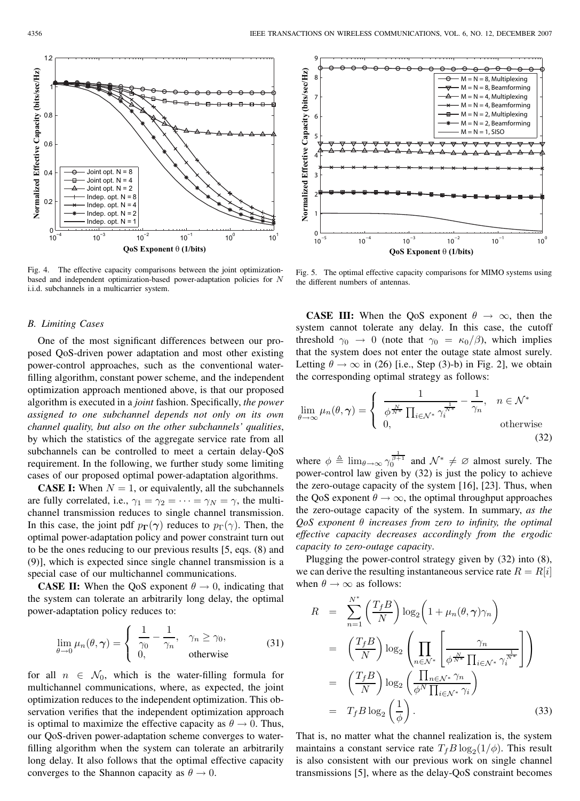

Fig. 4. The effective capacity comparisons between the joint optimizationbased and independent optimization-based power-adaptation policies for N i.i.d. subchannels in a multicarrier system.

### *B. Limiting Cases*

One of the most significant differences between our proposed QoS-driven power adaptation and most other existing power-control approaches, such as the conventional waterfilling algorithm, constant power scheme, and the independent optimization approach mentioned above, is that our proposed algorithm is executed in a *joint* fashion. Specifically, *the power assigned to one subchannel depends not only on its own channel quality, but also on the other subchannels' qualities*, by which the statistics of the aggregate service rate from all subchannels can be controlled to meet a certain delay-QoS requirement. In the following, we further study some limiting cases of our proposed optimal power-adaptation algorithms.

**CASE I:** When  $N = 1$ , or equivalently, all the subchannels are fully correlated, i.e.,  $\gamma_1 = \gamma_2 = \cdots = \gamma_N = \gamma$ , the multichannel transmission reduces to single channel transmission. In this case, the joint pdf  $p_{\Gamma}(\gamma)$  reduces to  $p_{\Gamma}(\gamma)$ . Then, the optimal power-adaptation policy and power constraint turn out to be the ones reducing to our previous results [5, eqs. (8) and (9)], which is expected since single channel transmission is a special case of our multichannel communications.

**CASE II:** When the QoS exponent  $\theta \rightarrow 0$ , indicating that the system can tolerate an arbitrarily long delay, the optimal power-adaptation policy reduces to:

$$
\lim_{\theta \to 0} \mu_n(\theta, \gamma) = \begin{cases} \frac{1}{\gamma_0} - \frac{1}{\gamma_n}, & \gamma_n \ge \gamma_0, \\ 0, & \text{otherwise} \end{cases}
$$
(31)

for all  $n \in \mathcal{N}_0$ , which is the water-filling formula for multichannel communications, where, as expected, the joint optimization reduces to the independent optimization. This observation verifies that the independent optimization approach is optimal to maximize the effective capacity as  $\theta \to 0$ . Thus, our QoS-driven power-adaptation scheme converges to waterfilling algorithm when the system can tolerate an arbitrarily long delay. It also follows that the optimal effective capacity converges to the Shannon capacity as  $\theta \to 0$ .



Fig. 5. The optimal effective capacity comparisons for MIMO systems using the different numbers of antennas.

**CASE III:** When the QoS exponent  $\theta \to \infty$ , then the system cannot tolerate any delay. In this case, the cutoff threshold  $\gamma_0 \rightarrow 0$  (note that  $\gamma_0 = \kappa_0/\beta$ ), which implies that the system does not enter the outage state almost surely. Letting  $\theta \rightarrow \infty$  in (26) [i.e., Step (3)-b) in Fig. 2], we obtain the corresponding optimal strategy as follows:

$$
\lim_{\theta \to \infty} \mu_n(\theta, \gamma) = \begin{cases} \frac{1}{\phi^{\frac{N}{N^*}} \prod_{i \in \mathcal{N}^*} \gamma_i^{\frac{1}{N^*}}} - \frac{1}{\gamma_n}, & n \in \mathcal{N}^* \\ 0, & \text{otherwise} \end{cases}
$$
(32)

where  $\phi \triangleq \lim_{\theta \to \infty} \gamma_0^{\frac{1}{\beta+1}}$  and  $\mathcal{N}^* \neq \emptyset$  almost surely. The power-control law given by (32) is just the policy to achieve the zero-outage capacity of the system [16], [23]. Thus, when the QoS exponent  $\theta \rightarrow \infty$ , the optimal throughput approaches the zero-outage capacity of the system. In summary, *as the QoS exponent* θ *increases from zero to infinity, the optimal effective capacity decreases accordingly from the ergodic capacity to zero-outage capacity*.

Plugging the power-control strategy given by (32) into (8), we can derive the resulting instantaneous service rate  $R = R[i]$ when  $\theta \rightarrow \infty$  as follows:

$$
R = \sum_{n=1}^{N^*} \left(\frac{T_f B}{N}\right) \log_2 \left(1 + \mu_n(\theta, \gamma)\gamma_n\right)
$$
  
\n
$$
= \left(\frac{T_f B}{N}\right) \log_2 \left(\prod_{n \in \mathcal{N}^*} \left[\frac{\gamma_n}{\phi^{\frac{N}{N^*}} \prod_{i \in \mathcal{N}^*} \gamma_i^{\frac{1}{N^*}}}\right]\right)
$$
  
\n
$$
= \left(\frac{T_f B}{N}\right) \log_2 \left(\frac{\prod_{n \in \mathcal{N}^*} \gamma_n}{\phi^N \prod_{i \in \mathcal{N}^*} \gamma_i}\right)
$$
  
\n
$$
= T_f B \log_2 \left(\frac{1}{\phi}\right).
$$
 (33)

That is, no matter what the channel realization is, the system maintains a constant service rate  $T_fB \log_2(1/\phi)$ . This result is also consistent with our previous work on single channel transmissions [5], where as the delay-QoS constraint becomes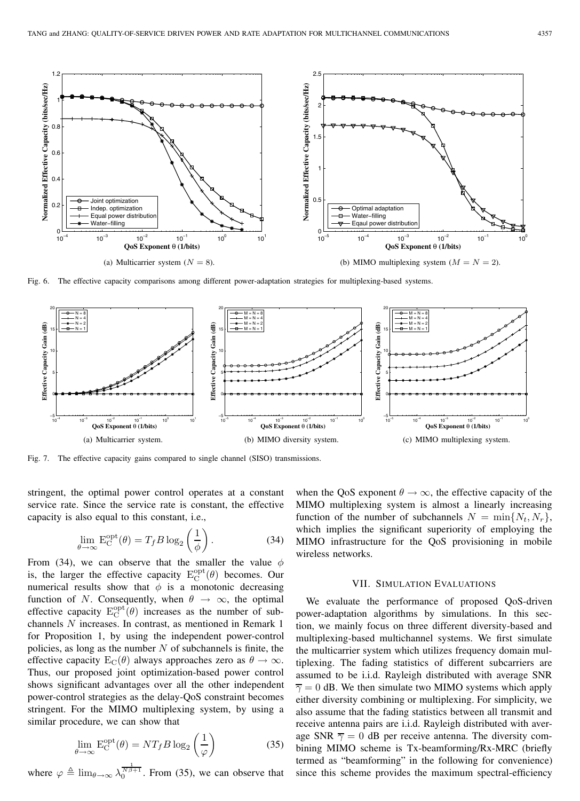

Fig. 6. The effective capacity comparisons among different power-adaptation strategies for multiplexing-based systems.



Fig. 7. The effective capacity gains compared to single channel (SISO) transmissions.

stringent, the optimal power control operates at a constant service rate. Since the service rate is constant, the effective capacity is also equal to this constant, i.e.,

$$
\lim_{\theta \to \infty} \mathcal{E}_\mathcal{C}^{\text{opt}}(\theta) = T_f B \log_2 \left(\frac{1}{\phi}\right). \tag{34}
$$

From (34), we can observe that the smaller the value  $\phi$ is, the larger the effective capacity  $E_C^{opt}(\theta)$  becomes. Our numerical results show that  $\phi$  is a monotonic decreasing function of N. Consequently, when  $\theta \rightarrow \infty$ , the optimal effective capacity  $E_C^{opt}(\theta)$  increases as the number of subchannels N increases. In contrast, as mentioned in Remark 1 for Proposition 1, by using the independent power-control policies, as long as the number  $N$  of subchannels is finite, the effective capacity  $E_C(\theta)$  always approaches zero as  $\theta \to \infty$ . Thus, our proposed joint optimization-based power control shows significant advantages over all the other independent power-control strategies as the delay-QoS constraint becomes stringent. For the MIMO multiplexing system, by using a similar procedure, we can show that

$$
\lim_{\theta \to \infty} \mathcal{E}_{\mathcal{C}}^{\text{opt}}(\theta) = NT_f B \log_2 \left(\frac{1}{\varphi}\right)
$$
 (35)

where  $\varphi \triangleq \lim_{\theta \to \infty} \lambda_0^{\frac{1}{N\beta + 1}}$ . From (35), we can observe that

when the QoS exponent  $\theta \rightarrow \infty$ , the effective capacity of the MIMO multiplexing system is almost a linearly increasing function of the number of subchannels  $N = \min\{N_t, N_r\}$ , which implies the significant superiority of employing the MIMO infrastructure for the QoS provisioning in mobile wireless networks.

#### VII. SIMULATION EVALUATIONS

We evaluate the performance of proposed QoS-driven power-adaptation algorithms by simulations. In this section, we mainly focus on three different diversity-based and multiplexing-based multichannel systems. We first simulate the multicarrier system which utilizes frequency domain multiplexing. The fading statistics of different subcarriers are assumed to be i.i.d. Rayleigh distributed with average SNR  $\overline{\gamma} = 0$  dB. We then simulate two MIMO systems which apply either diversity combining or multiplexing. For simplicity, we also assume that the fading statistics between all transmit and receive antenna pairs are i.i.d. Rayleigh distributed with average SNR  $\overline{\gamma} = 0$  dB per receive antenna. The diversity combining MIMO scheme is Tx-beamforming/Rx-MRC (briefly termed as "beamforming" in the following for convenience) since this scheme provides the maximum spectral-efficiency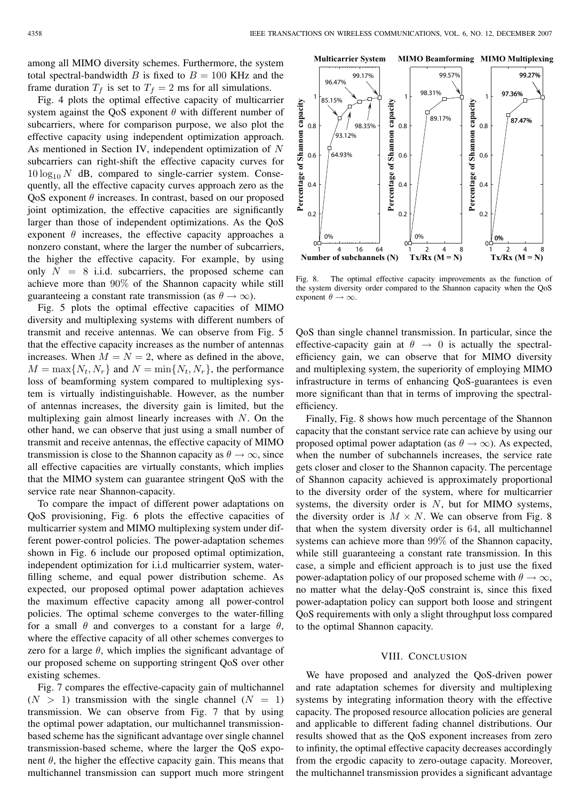among all MIMO diversity schemes. Furthermore, the system total spectral-bandwidth B is fixed to  $B = 100$  KHz and the frame duration  $T_f$  is set to  $T_f = 2$  ms for all simulations.

Fig. 4 plots the optimal effective capacity of multicarrier system against the QoS exponent  $\theta$  with different number of subcarriers, where for comparison purpose, we also plot the effective capacity using independent optimization approach. As mentioned in Section IV, independent optimization of N subcarriers can right-shift the effective capacity curves for  $10 \log_{10} N$  dB, compared to single-carrier system. Consequently, all the effective capacity curves approach zero as the QoS exponent  $\theta$  increases. In contrast, based on our proposed joint optimization, the effective capacities are significantly larger than those of independent optimizations. As the QoS exponent  $\theta$  increases, the effective capacity approaches a nonzero constant, where the larger the number of subcarriers, the higher the effective capacity. For example, by using only  $N = 8$  i.i.d. subcarriers, the proposed scheme can achieve more than 90% of the Shannon capacity while still guaranteeing a constant rate transmission (as  $\theta \to \infty$ ).

Fig. 5 plots the optimal effective capacities of MIMO diversity and multiplexing systems with different numbers of transmit and receive antennas. We can observe from Fig. 5 that the effective capacity increases as the number of antennas increases. When  $M = N = 2$ , where as defined in the above,  $M = \max\{N_t, N_r\}$  and  $N = \min\{N_t, N_r\}$ , the performance loss of beamforming system compared to multiplexing system is virtually indistinguishable. However, as the number of antennas increases, the diversity gain is limited, but the multiplexing gain almost linearly increases with  $N$ . On the other hand, we can observe that just using a small number of transmit and receive antennas, the effective capacity of MIMO transmission is close to the Shannon capacity as  $\theta \to \infty$ , since all effective capacities are virtually constants, which implies that the MIMO system can guarantee stringent QoS with the service rate near Shannon-capacity.

To compare the impact of different power adaptations on QoS provisioning, Fig. 6 plots the effective capacities of multicarrier system and MIMO multiplexing system under different power-control policies. The power-adaptation schemes shown in Fig. 6 include our proposed optimal optimization, independent optimization for i.i.d multicarrier system, waterfilling scheme, and equal power distribution scheme. As expected, our proposed optimal power adaptation achieves the maximum effective capacity among all power-control policies. The optimal scheme converges to the water-filling for a small  $\theta$  and converges to a constant for a large  $\theta$ , where the effective capacity of all other schemes converges to zero for a large  $\theta$ , which implies the significant advantage of our proposed scheme on supporting stringent QoS over other existing schemes.

Fig. 7 compares the effective-capacity gain of multichannel  $(N > 1)$  transmission with the single channel  $(N = 1)$ transmission. We can observe from Fig. 7 that by using the optimal power adaptation, our multichannel transmissionbased scheme has the significant advantage over single channel transmission-based scheme, where the larger the QoS exponent  $\theta$ , the higher the effective capacity gain. This means that multichannel transmission can support much more stringent

Fig. 8. The optimal effective capacity improvements as the function of the system diversity order compared to the Shannon capacity when the QoS exponent  $\theta \rightarrow \infty$ .

QoS than single channel transmission. In particular, since the effective-capacity gain at  $\theta \rightarrow 0$  is actually the spectralefficiency gain, we can observe that for MIMO diversity and multiplexing system, the superiority of employing MIMO infrastructure in terms of enhancing QoS-guarantees is even more significant than that in terms of improving the spectralefficiency.

Finally, Fig. 8 shows how much percentage of the Shannon capacity that the constant service rate can achieve by using our proposed optimal power adaptation (as  $\theta \rightarrow \infty$ ). As expected, when the number of subchannels increases, the service rate gets closer and closer to the Shannon capacity. The percentage of Shannon capacity achieved is approximately proportional to the diversity order of the system, where for multicarrier systems, the diversity order is  $N$ , but for MIMO systems, the diversity order is  $M \times N$ . We can observe from Fig. 8 that when the system diversity order is 64, all multichannel systems can achieve more than 99% of the Shannon capacity, while still guaranteeing a constant rate transmission. In this case, a simple and efficient approach is to just use the fixed power-adaptation policy of our proposed scheme with  $\theta \to \infty$ , no matter what the delay-QoS constraint is, since this fixed power-adaptation policy can support both loose and stringent QoS requirements with only a slight throughput loss compared to the optimal Shannon capacity.

## VIII. CONCLUSION

We have proposed and analyzed the QoS-driven power and rate adaptation schemes for diversity and multiplexing systems by integrating information theory with the effective capacity. The proposed resource allocation policies are general and applicable to different fading channel distributions. Our results showed that as the QoS exponent increases from zero to infinity, the optimal effective capacity decreases accordingly from the ergodic capacity to zero-outage capacity. Moreover, the multichannel transmission provides a significant advantage

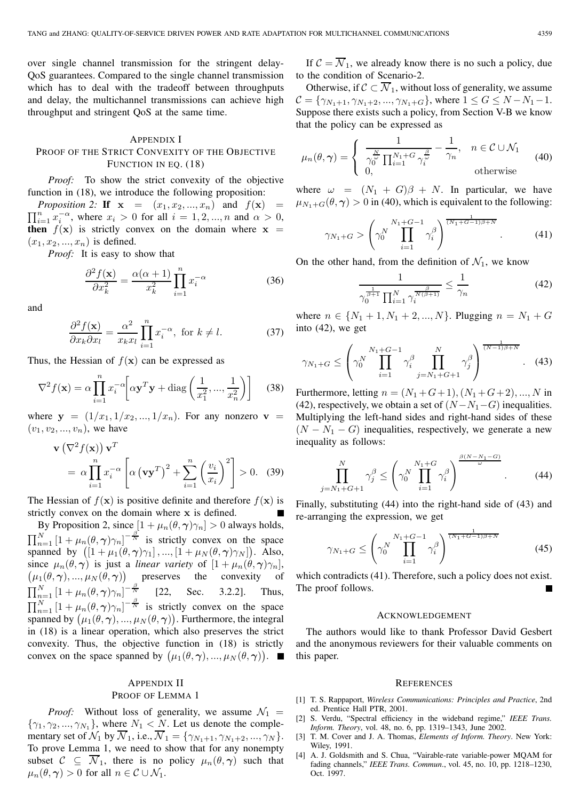over single channel transmission for the stringent delay-QoS guarantees. Compared to the single channel transmission which has to deal with the tradeoff between throughputs and delay, the multichannel transmissions can achieve high throughput and stringent QoS at the same time.

## APPENDIX I

## PROOF OF THE STRICT CONVEXITY OF THE OBJECTIVE FUNCTION IN EQ.  $(18)$

*Proof:* To show the strict convexity of the objective function in (18), we introduce the following proposition:

 $\prod_{i=1}^{n} x_i^{-\alpha}$ , where  $x_i > 0$  for all  $i = 1, 2, ..., n$  and  $\alpha > 0$ , *Proposition 2:* **If**  $\mathbf{x} = (x_1, x_2, ..., x_n)$  and  $f(\mathbf{x}) =$ **then**  $f(\mathbf{x})$  is strictly convex on the domain where  $\mathbf{x} =$  $(x_1, x_2, ..., x_n)$  is defined.

*Proof:* It is easy to show that

$$
\frac{\partial^2 f(\mathbf{x})}{\partial x_k^2} = \frac{\alpha(\alpha+1)}{x_k^2} \prod_{i=1}^n x_i^{-\alpha} \tag{36}
$$

and

$$
\frac{\partial^2 f(\mathbf{x})}{\partial x_k \partial x_l} = \frac{\alpha^2}{x_k x_l} \prod_{i=1}^n x_i^{-\alpha}, \text{ for } k \neq l.
$$
 (37)

Thus, the Hessian of  $f(\mathbf{x})$  can be expressed as

$$
\nabla^2 f(\mathbf{x}) = \alpha \prod_{i=1}^n x_i^{-\alpha} \bigg[ \alpha \mathbf{y}^T \mathbf{y} + \text{diag}\left(\frac{1}{x_1^2}, \dots, \frac{1}{x_n^2}\right) \bigg] \tag{38}
$$

where  $y = (1/x_1, 1/x_2, ..., 1/x_n)$ . For any nonzero  $v =$  $(v_1, v_2, ..., v_n)$ , we have

$$
\mathbf{v} \left( \nabla^2 f(\mathbf{x}) \right) \mathbf{v}^T
$$
  
=  $\alpha \prod_{i=1}^n x_i^{-\alpha} \left[ \alpha \left( \mathbf{v} \mathbf{y}^T \right)^2 + \sum_{i=1}^n \left( \frac{v_i}{x_i} \right)^2 \right] > 0.$  (39)

The Hessian of  $f(\mathbf{x})$  is positive definite and therefore  $f(\mathbf{x})$  is strictly convex on the domain where **x** is defined.

By Proposition 2, since  $[1 + \mu_n(\theta, \gamma)\gamma_n] > 0$  always holds,  $\prod_{n=1}^{N} \left[1 + \mu_n(\theta, \gamma)\gamma_n\right]^{-\frac{\beta}{N}}$  is strictly convex on the space spanned by  $([1 + \mu_1(\theta, \gamma)\gamma_1], ..., [1 + \mu_N(\theta, \gamma)\gamma_N])$ . Also, since  $\mu_n(\theta, \gamma)$  is just a *linear variety* of  $[1 + \mu_n(\theta, \gamma)\gamma_n]$ ,  $(\mu_1(\theta, \gamma), ..., \mu_N(\theta, \gamma))$  preserves the convexity of  $\prod_{n=1}^{N} \left[1 + \mu_n(\theta, \gamma)\gamma_n\right]^{-\frac{\beta}{N}}$  [22, Sec. 3.2.2]. Thus,  $\prod_{n=1}^{N} \left[1 + \mu_n(\theta, \gamma)\gamma_n\right]^{-\frac{\beta}{N}}$  is strictly convex on the space spanned by  $(\mu_1(\theta, \gamma), ..., \mu_N(\theta, \gamma))$ . Furthermore, the integral in (18) is a linear operation, which also preserves the strict convexity. Thus, the objective function in (18) is strictly convex on the space spanned by  $(\mu_1(\theta, \gamma), ..., \mu_N(\theta, \gamma)).$ 

## APPENDIX II PROOF OF LEMMA 1

*Proof:* Without loss of generality, we assume  $\mathcal{N}_1$  =  $\{\gamma_1, \gamma_2, ..., \gamma_{N_1}\}\$ , where  $N_1 < N$ . Let us denote the complementary set of  $N_1$  by  $N_1$ , i.e.,  $N_1 = \{ \gamma_{N_1+1}, \gamma_{N_1+2}, ..., \gamma_N \}.$ To prove Lemma 1, we need to show that for any nonempty subset  $C \subseteq \overline{\mathcal{N}}_1$ , there is no policy  $\mu_n(\theta, \gamma)$  such that  $\mu_n(\theta, \gamma) > 0$  for all  $n \in \mathcal{C} \cup \mathcal{N}_1$ .

If  $C = \overline{N}_1$ , we already know there is no such a policy, due to the condition of Scenario-2.

Otherwise, if  $C \subset \overline{\mathcal{N}}_1$ , without loss of generality, we assume  $C = \{ \gamma_{N_1+1}, \gamma_{N_1+2}, ..., \gamma_{N_1+G} \}$ , where  $1 \le G \le N - N_1 - 1$ . Suppose there exists such a policy, from Section V-B we know that the policy can be expressed as

$$
\mu_n(\theta, \gamma) = \begin{cases} \frac{1}{\gamma_0^{\frac{N}{\omega}} \prod_{i=1}^{N_1 + G} \gamma_i^{\frac{\beta}{\omega}} - \frac{1}{\gamma_n}, & n \in \mathcal{C} \cup \mathcal{N}_1 \\ 0, & \text{otherwise} \end{cases}
$$
(40)

where  $\omega = (N_1 + G)\beta + N$ . In particular, we have  $\mu_{N_1+G}(\theta, \gamma) > 0$  in (40), which is equivalent to the following:

$$
\gamma_{N_1+G} > \left(\gamma_0^N \prod_{i=1}^{N_1+G-1} \gamma_i^{\beta}\right)^{\frac{1}{(N_1+G-1)\beta+N}}.\tag{41}
$$

On the other hand, from the definition of  $\mathcal{N}_1$ , we know

$$
\frac{1}{\gamma_0^{\frac{1}{\beta+1}} \prod_{i=1}^N \gamma_i^{\frac{\beta}{N(\beta+1)}}} \le \frac{1}{\gamma_n} \tag{42}
$$

where  $n \in \{N_1 + 1, N_1 + 2, ..., N\}$ . Plugging  $n = N_1 + G$ into (42), we get

$$
\gamma_{N_1+G} \le \left(\gamma_0^N \prod_{i=1}^{N_1+G-1} \gamma_i^{\beta} \prod_{j=N_1+G+1}^N \gamma_j^{\beta} \right)^{\frac{1}{(N-1)\beta+N}}.
$$
 (43)

Furthermore, letting  $n = (N_1 + G + 1), (N_1 + G + 2), ..., N$  in (42), respectively, we obtain a set of  $(N - N_1 - G)$  inequalities. Multiplying the left-hand sides and right-hand sides of these  $(N - N_1 - G)$  inequalities, respectively, we generate a new inequality as follows:

$$
\prod_{j=N_1+G+1}^{N} \gamma_j^{\beta} \leq \left(\gamma_0^N \prod_{i=1}^{N_1+G} \gamma_i^{\beta}\right)^{\frac{\beta(N-N_1-G)}{\omega}}.
$$
 (44)

Finally, substituting (44) into the right-hand side of (43) and re-arranging the expression, we get

$$
\gamma_{N_1+G} \le \left(\gamma_0^N \prod_{i=1}^{N_1+G-1} \gamma_i^{\beta}\right)^{\frac{N_1+G-1}{\beta+K}} \tag{45}
$$

which contradicts (41). Therefore, such a policy does not exist. The proof follows.

## ACKNOWLEDGEMENT

The authors would like to thank Professor David Gesbert and the anonymous reviewers for their valuable comments on this paper.

#### **REFERENCES**

- [1] T. S. Rappaport, *Wireless Communications: Principles and Practice*, 2nd ed. Prentice Hall PTR, 2001.
- [2] S. Verdu, "Spectral efficiency in the wideband regime," *IEEE Trans. Inform. Theory*, vol. 48, no. 6, pp. 1319–1343, June 2002.
- [3] T. M. Cover and J. A. Thomas, *Elements of Inform. Theory*. New York: Wiley, 1991.
- [4] A. J. Goldsmith and S. Chua, "Vairable-rate variable-power MQAM for fading channels," *IEEE Trans. Commun*., vol. 45, no. 10, pp. 1218–1230, Oct. 1997.